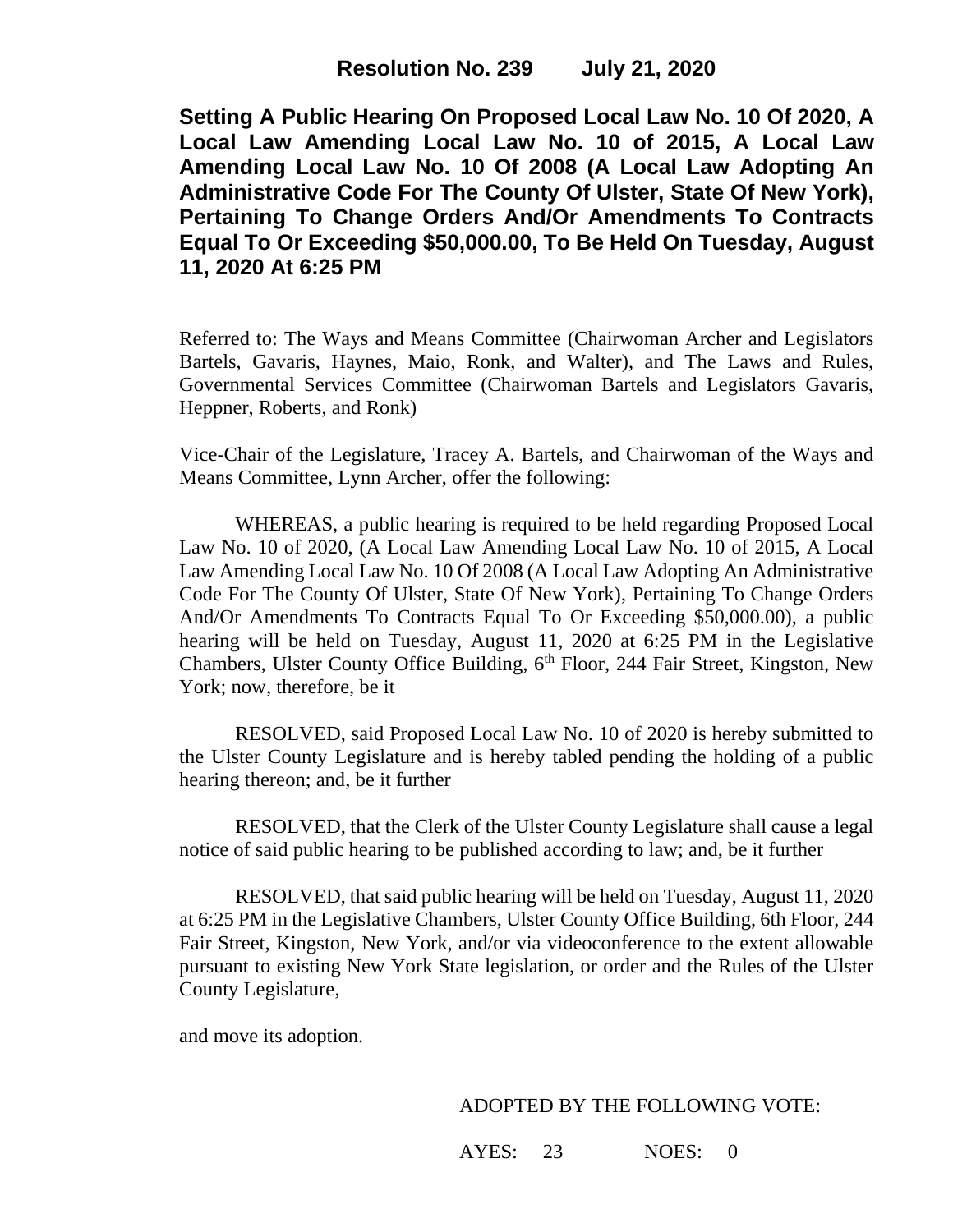**Setting A Public Hearing On Proposed Local Law No. 10 Of 2020, A Local Law Amending Local Law No. 10 of 2015, A Local Law Amending Local Law No. 10 Of 2008 (A Local Law Adopting An Administrative Code For The County Of Ulster, State Of New York), Pertaining To Change Orders And/Or Amendments To Contracts Equal To Or Exceeding \$50,000.00, To Be Held On Tuesday, August 11, 2020 At 6:25 PM**

Referred to: The Ways and Means Committee (Chairwoman Archer and Legislators Bartels, Gavaris, Haynes, Maio, Ronk, and Walter), and The Laws and Rules, Governmental Services Committee (Chairwoman Bartels and Legislators Gavaris, Heppner, Roberts, and Ronk)

Vice-Chair of the Legislature, Tracey A. Bartels, and Chairwoman of the Ways and Means Committee, Lynn Archer, offer the following:

WHEREAS, a public hearing is required to be held regarding Proposed Local Law No. 10 of 2020, (A Local Law Amending Local Law No. 10 of 2015, A Local Law Amending Local Law No. 10 Of 2008 (A Local Law Adopting An Administrative Code For The County Of Ulster, State Of New York), Pertaining To Change Orders And/Or Amendments To Contracts Equal To Or Exceeding \$50,000.00), a public hearing will be held on Tuesday, August 11, 2020 at 6:25 PM in the Legislative Chambers, Ulster County Office Building, 6<sup>th</sup> Floor, 244 Fair Street, Kingston, New York; now, therefore, be it

RESOLVED, said Proposed Local Law No. 10 of 2020 is hereby submitted to the Ulster County Legislature and is hereby tabled pending the holding of a public hearing thereon; and, be it further

RESOLVED, that the Clerk of the Ulster County Legislature shall cause a legal notice of said public hearing to be published according to law; and, be it further

RESOLVED, that said public hearing will be held on Tuesday, August 11, 2020 at 6:25 PM in the Legislative Chambers, Ulster County Office Building, 6th Floor, 244 Fair Street, Kingston, New York, and/or via videoconference to the extent allowable pursuant to existing New York State legislation, or order and the Rules of the Ulster County Legislature,

and move its adoption.

## ADOPTED BY THE FOLLOWING VOTE:

AYES: 23 NOES: 0